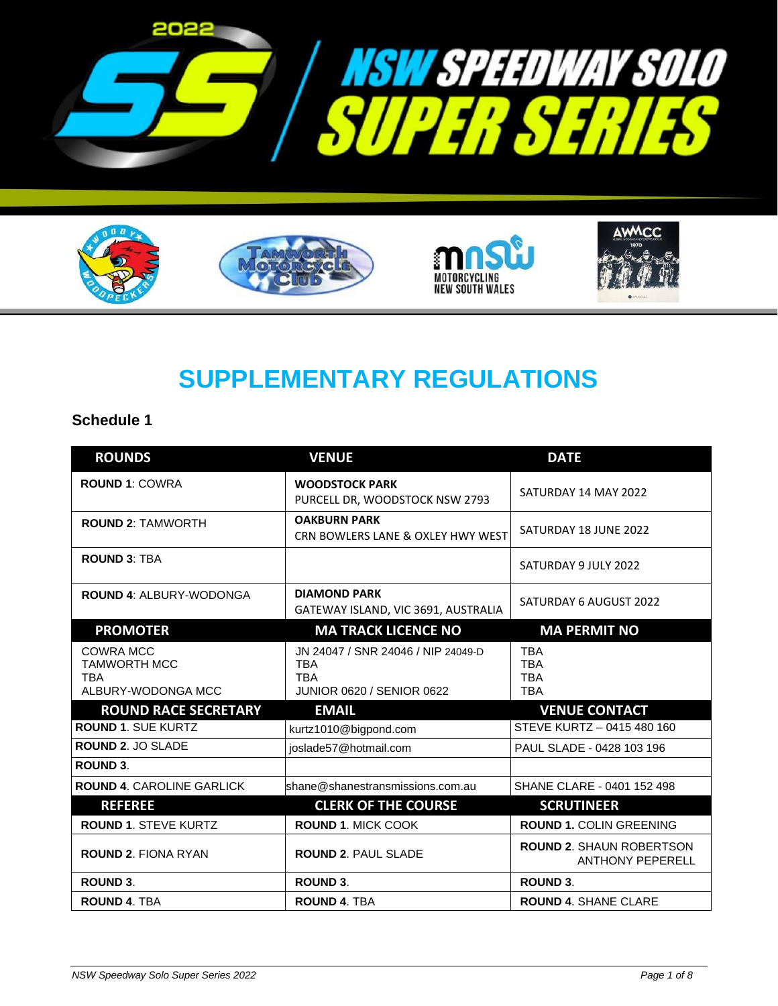







# **SUPPLEMENTARY REGULATIONS**

## **Schedule 1**

| <b>ROUNDS</b>                                                        | <b>VENUE</b>                                                                                | <b>DATE</b>                                          |
|----------------------------------------------------------------------|---------------------------------------------------------------------------------------------|------------------------------------------------------|
| <b>ROUND 1: COWRA</b>                                                | <b>WOODSTOCK PARK</b><br>PURCELL DR, WOODSTOCK NSW 2793                                     | SATURDAY 14 MAY 2022                                 |
| <b>ROUND 2: TAMWORTH</b>                                             | <b>OAKBURN PARK</b><br>CRN BOWLERS LANE & OXLEY HWY WEST                                    | SATURDAY 18 JUNE 2022                                |
| <b>ROUND 3: TBA</b>                                                  |                                                                                             | SATURDAY 9 JULY 2022                                 |
| <b>ROUND 4: ALBURY-WODONGA</b>                                       | <b>DIAMOND PARK</b><br>GATEWAY ISLAND, VIC 3691, AUSTRALIA                                  | SATURDAY 6 AUGUST 2022                               |
| <b>PROMOTER</b>                                                      | <b>MA TRACK LICENCE NO</b>                                                                  | <b>MA PERMIT NO</b>                                  |
| COWRA MCC<br><b>TAMWORTH MCC</b><br><b>TBA</b><br>ALBURY-WODONGA MCC | JN 24047 / SNR 24046 / NIP 24049-D<br><b>TBA</b><br><b>TBA</b><br>JUNIOR 0620 / SENIOR 0622 | <b>TBA</b><br><b>TBA</b><br><b>TBA</b><br><b>TBA</b> |
| <b>ROUND RACE SECRETARY</b>                                          | <b>EMAIL</b>                                                                                | <b>VENUE CONTACT</b>                                 |
| ROUND 1. SUE KURTZ                                                   | kurtz1010@bigpond.com                                                                       | STEVE KURTZ - 0415 480 160                           |
| ROUND 2. JO SLADE                                                    | ioslade57@hotmail.com                                                                       | PAUL SLADE - 0428 103 196                            |
| <b>ROUND 3.</b>                                                      |                                                                                             |                                                      |
| <b>ROUND 4. CAROLINE GARLICK</b>                                     | shane@shanestransmissions.com.au                                                            | SHANE CLARE - 0401 152 498                           |
| <b>REFEREE</b>                                                       | <b>CLERK OF THE COURSE</b>                                                                  | <b>SCRUTINEER</b>                                    |
| <b>ROUND 1. STEVE KURTZ</b>                                          | <b>ROUND 1. MICK COOK</b>                                                                   | <b>ROUND 1. COLIN GREENING</b>                       |
| <b>ROUND 2. FIONA RYAN</b>                                           | <b>ROUND 2. PAUL SLADE</b>                                                                  | ROUND 2. SHAUN ROBERTSON<br><b>ANTHONY PEPERELL</b>  |
| ROUND 3.                                                             | <b>ROUND 3.</b>                                                                             | <b>ROUND 3.</b>                                      |
| <b>ROUND 4. TBA</b>                                                  | <b>ROUND 4. TBA</b>                                                                         | <b>ROUND 4. SHANE CLARE</b>                          |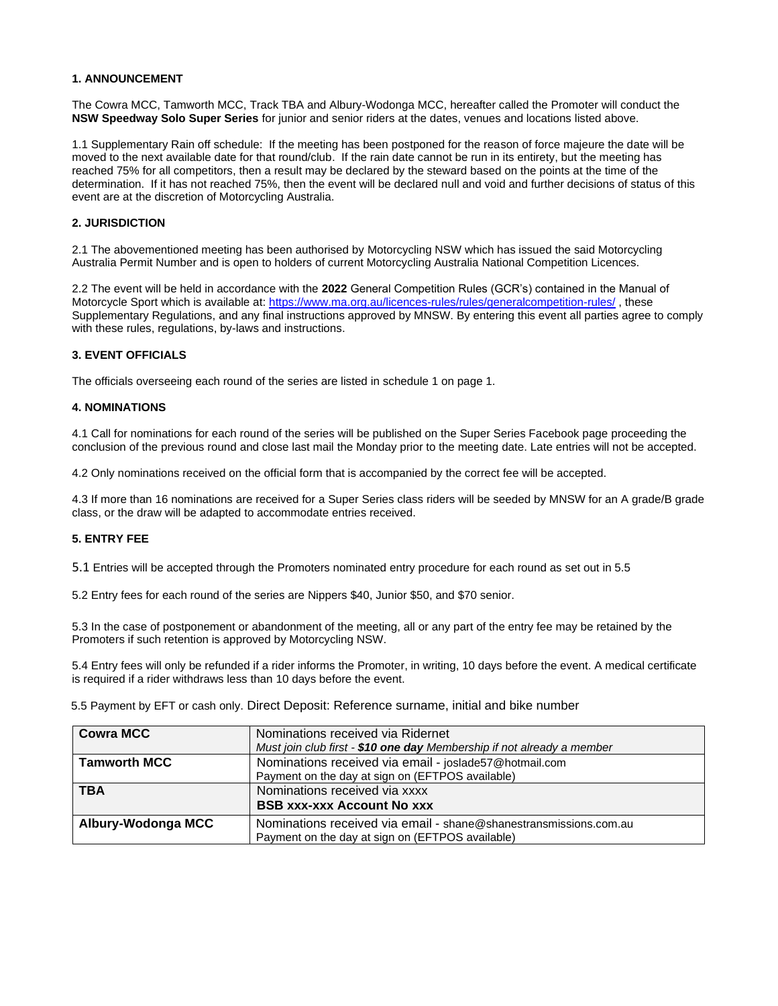## **1. ANNOUNCEMENT**

The Cowra MCC, Tamworth MCC, Track TBA and Albury-Wodonga MCC, hereafter called the Promoter will conduct the **NSW Speedway Solo Super Series** for junior and senior riders at the dates, venues and locations listed above.

1.1 Supplementary Rain off schedule: If the meeting has been postponed for the reason of force majeure the date will be moved to the next available date for that round/club. If the rain date cannot be run in its entirety, but the meeting has reached 75% for all competitors, then a result may be declared by the steward based on the points at the time of the determination. If it has not reached 75%, then the event will be declared null and void and further decisions of status of this event are at the discretion of Motorcycling Australia.

## **2. JURISDICTION**

2.1 The abovementioned meeting has been authorised by Motorcycling NSW which has issued the said Motorcycling Australia Permit Number and is open to holders of current Motorcycling Australia National Competition Licences.

2.2 The event will be held in accordance with the **2022** General Competition Rules (GCR's) contained in the Manual of Motorcycle Sport which is available at:<https://www.ma.org.au/licences-rules/rules/generalcompetition-rules/> , these Supplementary Regulations, and any final instructions approved by MNSW. By entering this event all parties agree to comply with these rules, regulations, by-laws and instructions.

## **3. EVENT OFFICIALS**

The officials overseeing each round of the series are listed in schedule 1 on page 1.

## **4. NOMINATIONS**

4.1 Call for nominations for each round of the series will be published on the Super Series Facebook page proceeding the conclusion of the previous round and close last mail the Monday prior to the meeting date. Late entries will not be accepted.

4.2 Only nominations received on the official form that is accompanied by the correct fee will be accepted.

4.3 If more than 16 nominations are received for a Super Series class riders will be seeded by MNSW for an A grade/B grade class, or the draw will be adapted to accommodate entries received.

## **5. ENTRY FEE**

5.1 Entries will be accepted through the Promoters nominated entry procedure for each round as set out in 5.5

5.2 Entry fees for each round of the series are Nippers \$40, Junior \$50, and \$70 senior.

5.3 In the case of postponement or abandonment of the meeting, all or any part of the entry fee may be retained by the Promoters if such retention is approved by Motorcycling NSW.

5.4 Entry fees will only be refunded if a rider informs the Promoter, in writing, 10 days before the event. A medical certificate is required if a rider withdraws less than 10 days before the event.

5.5 Payment by EFT or cash only. Direct Deposit: Reference surname, initial and bike number

| <b>Cowra MCC</b>    | Nominations received via Ridernet                                      |
|---------------------|------------------------------------------------------------------------|
|                     | Must join club first - \$10 one day Membership if not already a member |
| <b>Tamworth MCC</b> | Nominations received via email - joslade57@hotmail.com                 |
|                     | Payment on the day at sign on (EFTPOS available)                       |
| <b>TBA</b>          | Nominations received via xxxx                                          |
|                     | <b>BSB XXX-XXX Account No XXX</b>                                      |
| Albury-Wodonga MCC  | Nominations received via email - shane@shanestransmissions.com.au      |
|                     | Payment on the day at sign on (EFTPOS available)                       |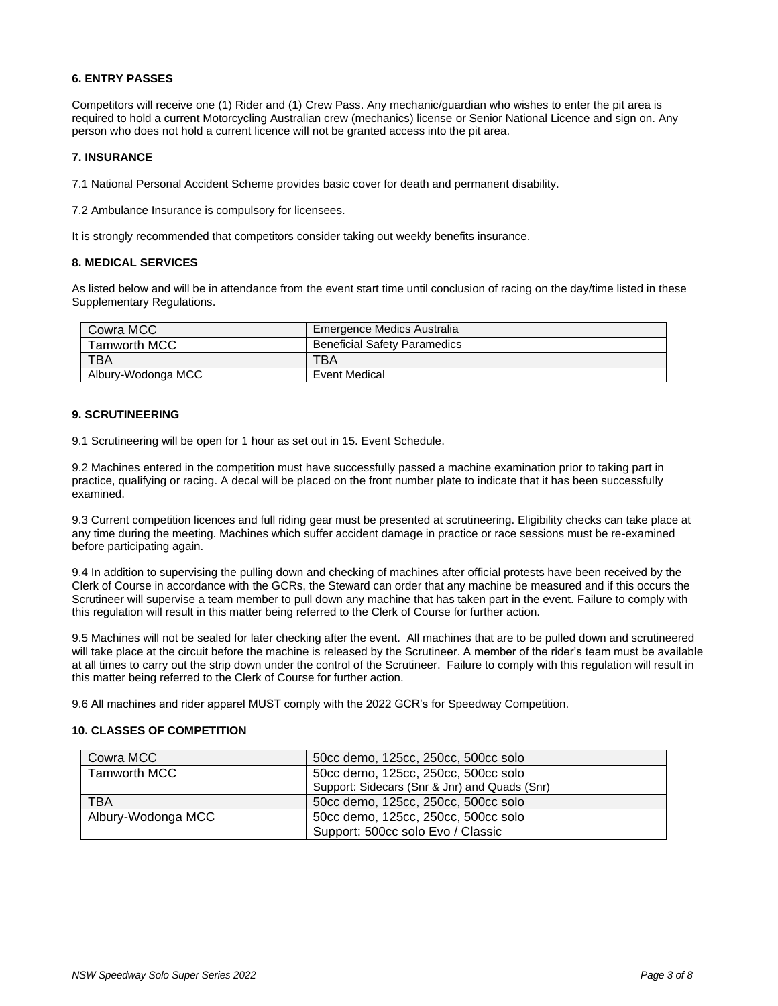## **6. ENTRY PASSES**

Competitors will receive one (1) Rider and (1) Crew Pass. Any mechanic/guardian who wishes to enter the pit area is required to hold a current Motorcycling Australian crew (mechanics) license or Senior National Licence and sign on. Any person who does not hold a current licence will not be granted access into the pit area.

## **7. INSURANCE**

7.1 National Personal Accident Scheme provides basic cover for death and permanent disability.

7.2 Ambulance Insurance is compulsory for licensees.

It is strongly recommended that competitors consider taking out weekly benefits insurance.

## **8. MEDICAL SERVICES**

As listed below and will be in attendance from the event start time until conclusion of racing on the day/time listed in these Supplementary Regulations.

| Cowra MCC           | Emergence Medics Australia          |
|---------------------|-------------------------------------|
| <b>Tamworth MCC</b> | <b>Beneficial Safety Paramedics</b> |
| <b>TBA</b>          | TBA                                 |
| Albury-Wodonga MCC  | Event Medical                       |

## **9. SCRUTINEERING**

9.1 Scrutineering will be open for 1 hour as set out in 15. Event Schedule.

9.2 Machines entered in the competition must have successfully passed a machine examination prior to taking part in practice, qualifying or racing. A decal will be placed on the front number plate to indicate that it has been successfully examined.

9.3 Current competition licences and full riding gear must be presented at scrutineering. Eligibility checks can take place at any time during the meeting. Machines which suffer accident damage in practice or race sessions must be re-examined before participating again.

9.4 In addition to supervising the pulling down and checking of machines after official protests have been received by the Clerk of Course in accordance with the GCRs, the Steward can order that any machine be measured and if this occurs the Scrutineer will supervise a team member to pull down any machine that has taken part in the event. Failure to comply with this regulation will result in this matter being referred to the Clerk of Course for further action.

9.5 Machines will not be sealed for later checking after the event. All machines that are to be pulled down and scrutineered will take place at the circuit before the machine is released by the Scrutineer. A member of the rider's team must be available at all times to carry out the strip down under the control of the Scrutineer. Failure to comply with this regulation will result in this matter being referred to the Clerk of Course for further action.

9.6 All machines and rider apparel MUST comply with the 2022 GCR's for Speedway Competition.

## **10. CLASSES OF COMPETITION**

| Cowra MCC          | 50cc demo, 125cc, 250cc, 500cc solo           |
|--------------------|-----------------------------------------------|
| Tamworth MCC       | 50cc demo, 125cc, 250cc, 500cc solo           |
|                    | Support: Sidecars (Snr & Jnr) and Quads (Snr) |
| TBA                | 50cc demo, 125cc, 250cc, 500cc solo           |
| Albury-Wodonga MCC | 50cc demo, 125cc, 250cc, 500cc solo           |
|                    | Support: 500cc solo Evo / Classic             |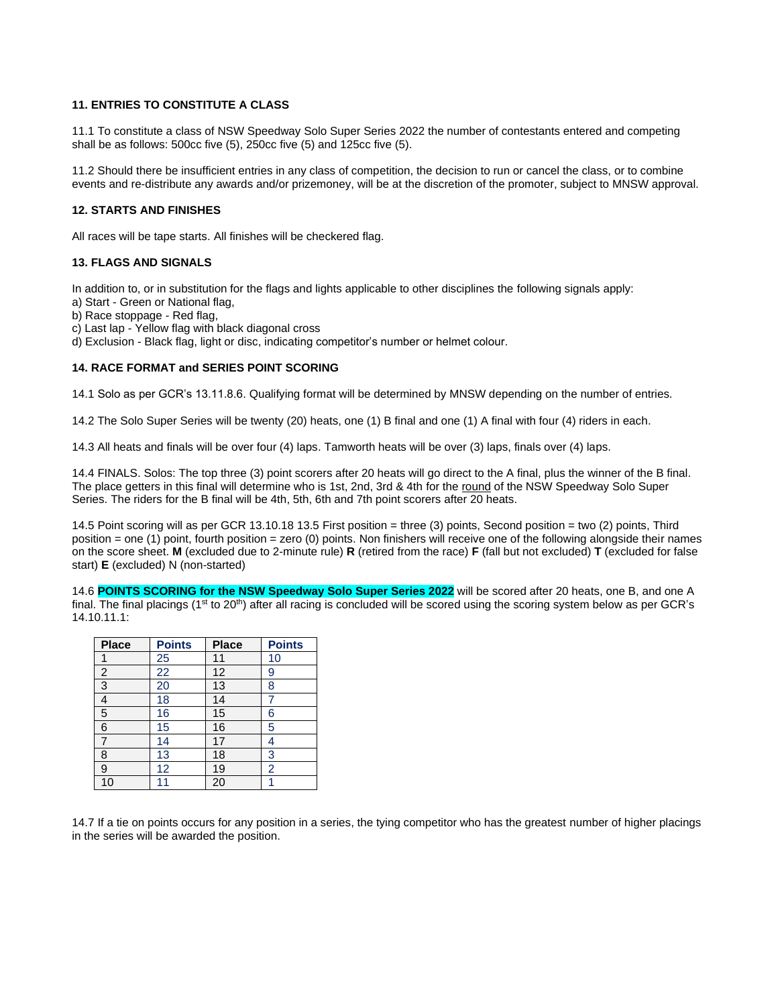## **11. ENTRIES TO CONSTITUTE A CLASS**

11.1 To constitute a class of NSW Speedway Solo Super Series 2022 the number of contestants entered and competing shall be as follows: 500cc five (5), 250cc five (5) and 125cc five (5).

11.2 Should there be insufficient entries in any class of competition, the decision to run or cancel the class, or to combine events and re-distribute any awards and/or prizemoney, will be at the discretion of the promoter, subject to MNSW approval.

## **12. STARTS AND FINISHES**

All races will be tape starts. All finishes will be checkered flag.

## **13. FLAGS AND SIGNALS**

In addition to, or in substitution for the flags and lights applicable to other disciplines the following signals apply:

- a) Start Green or National flag,
- b) Race stoppage Red flag,
- c) Last lap Yellow flag with black diagonal cross

d) Exclusion - Black flag, light or disc, indicating competitor's number or helmet colour.

## **14. RACE FORMAT and SERIES POINT SCORING**

14.1 Solo as per GCR's 13.11.8.6. Qualifying format will be determined by MNSW depending on the number of entries.

14.2 The Solo Super Series will be twenty (20) heats, one (1) B final and one (1) A final with four (4) riders in each.

14.3 All heats and finals will be over four (4) laps. Tamworth heats will be over (3) laps, finals over (4) laps.

14.4 FINALS. Solos: The top three (3) point scorers after 20 heats will go direct to the A final, plus the winner of the B final. The place getters in this final will determine who is 1st, 2nd, 3rd & 4th for the round of the NSW Speedway Solo Super Series. The riders for the B final will be 4th, 5th, 6th and 7th point scorers after 20 heats.

14.5 Point scoring will as per GCR 13.10.18 13.5 First position = three (3) points, Second position = two (2) points, Third position = one (1) point, fourth position = zero (0) points. Non finishers will receive one of the following alongside their names on the score sheet. **M** (excluded due to 2-minute rule) **R** (retired from the race) **F** (fall but not excluded) **T** (excluded for false start) **E** (excluded) N (non-started)

14.6 **POINTS SCORING for the NSW Speedway Solo Super Series 2022** will be scored after 20 heats, one B, and one A final. The final placings (1<sup>st</sup> to 20<sup>th</sup>) after all racing is concluded will be scored using the scoring system below as per GCR's 14.10.11.1:

| <b>Place</b>   | <b>Points</b> | <b>Place</b> | <b>Points</b>  |
|----------------|---------------|--------------|----------------|
|                | 25            | 11           | 10             |
| $\overline{2}$ | 22            | 12           | 9              |
| 3              | 20            | 13           | 8              |
| 4              | 18            | 14           |                |
| 5              | 16            | 15           | 6              |
| 6              | 15            | 16           | 5              |
| 7              | 14            | 17           | 4              |
| 8              | 13            | 18           | 3              |
| 9              | 12            | 19           | $\overline{2}$ |
| 10             |               | 20           |                |

14.7 If a tie on points occurs for any position in a series, the tying competitor who has the greatest number of higher placings in the series will be awarded the position.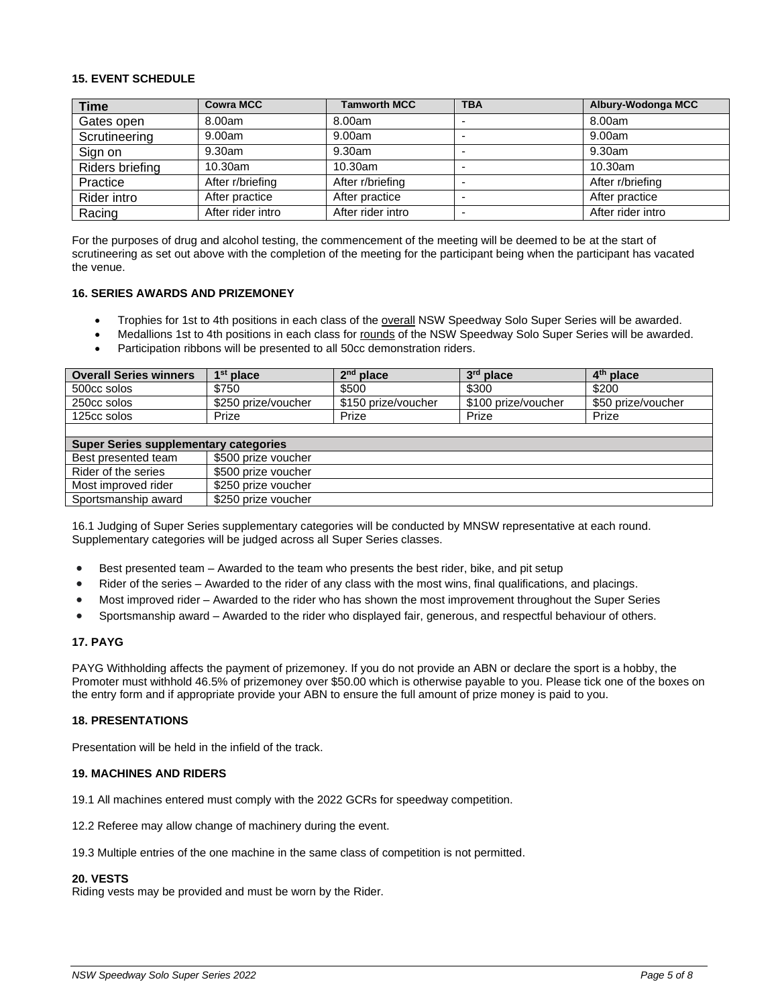## **15. EVENT SCHEDULE**

| <b>Time</b>     | <b>Cowra MCC</b>  | <b>Tamworth MCC</b> | <b>TBA</b>               | Albury-Wodonga MCC |
|-----------------|-------------------|---------------------|--------------------------|--------------------|
| Gates open      | 8.00am            | 8.00am              | -                        | 8.00am             |
| Scrutineering   | 9.00am            | 9.00am              | $\overline{\phantom{0}}$ | 9.00am             |
| Sign on         | 9.30am            | 9.30am              | $\overline{\phantom{0}}$ | 9.30am             |
| Riders briefing | 10.30am           | 10.30am             | $\overline{\phantom{0}}$ | 10.30am            |
| Practice        | After r/briefing  | After r/briefing    | $\overline{\phantom{0}}$ | After r/briefing   |
| Rider intro     | After practice    | After practice      | $\overline{\phantom{0}}$ | After practice     |
| Racing          | After rider intro | After rider intro   | $\overline{\phantom{0}}$ | After rider intro  |

For the purposes of drug and alcohol testing, the commencement of the meeting will be deemed to be at the start of scrutineering as set out above with the completion of the meeting for the participant being when the participant has vacated the venue.

## **16. SERIES AWARDS AND PRIZEMONEY**

- Trophies for 1st to 4th positions in each class of the overall NSW Speedway Solo Super Series will be awarded.
- Medallions 1st to 4th positions in each class for rounds of the NSW Speedway Solo Super Series will be awarded.
- Participation ribbons will be presented to all 50cc demonstration riders.

| <b>Overall Series winners</b>                | $1st$ place         | $2nd$ place         | $3rd$ place         | $4th$ place        |
|----------------------------------------------|---------------------|---------------------|---------------------|--------------------|
| 500cc solos                                  | \$750               | \$500               | \$300               | \$200              |
| 250cc solos                                  | \$250 prize/voucher | \$150 prize/voucher | \$100 prize/voucher | \$50 prize/voucher |
| 125cc solos                                  | Prize               | Prize               | Prize               | Prize              |
|                                              |                     |                     |                     |                    |
| <b>Super Series supplementary categories</b> |                     |                     |                     |                    |

| Super Series supplementary categories |                     |
|---------------------------------------|---------------------|
| Best presented team                   | \$500 prize voucher |
| Rider of the series                   | \$500 prize voucher |
| Most improved rider                   | \$250 prize voucher |
| Sportsmanship award                   | \$250 prize voucher |

16.1 Judging of Super Series supplementary categories will be conducted by MNSW representative at each round. Supplementary categories will be judged across all Super Series classes.

- Best presented team Awarded to the team who presents the best rider, bike, and pit setup
- Rider of the series Awarded to the rider of any class with the most wins, final qualifications, and placings.
- Most improved rider Awarded to the rider who has shown the most improvement throughout the Super Series
- Sportsmanship award Awarded to the rider who displayed fair, generous, and respectful behaviour of others.

## **17. PAYG**

PAYG Withholding affects the payment of prizemoney. If you do not provide an ABN or declare the sport is a hobby, the Promoter must withhold 46.5% of prizemoney over \$50.00 which is otherwise payable to you. Please tick one of the boxes on the entry form and if appropriate provide your ABN to ensure the full amount of prize money is paid to you.

## **18. PRESENTATIONS**

Presentation will be held in the infield of the track.

#### **19. MACHINES AND RIDERS**

19.1 All machines entered must comply with the 2022 GCRs for speedway competition.

12.2 Referee may allow change of machinery during the event.

19.3 Multiple entries of the one machine in the same class of competition is not permitted.

## **20. VESTS**

Riding vests may be provided and must be worn by the Rider.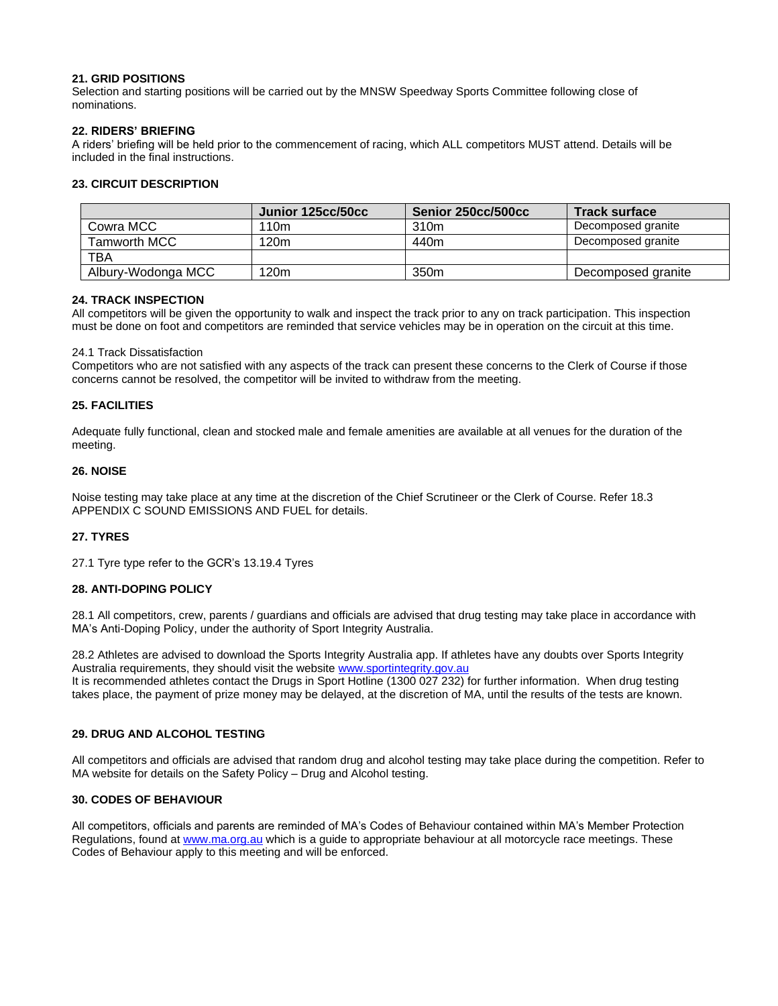## **21. GRID POSITIONS**

Selection and starting positions will be carried out by the MNSW Speedway Sports Committee following close of nominations.

## **22. RIDERS' BRIEFING**

A riders' briefing will be held prior to the commencement of racing, which ALL competitors MUST attend. Details will be included in the final instructions.

## **23. CIRCUIT DESCRIPTION**

|                    | Junior 125cc/50cc | Senior 250cc/500cc | <b>Track surface</b> |
|--------------------|-------------------|--------------------|----------------------|
| Cowra MCC          | 110m              | 310m               | Decomposed granite   |
| Tamworth MCC       | 120 <sub>m</sub>  | 440m               | Decomposed granite   |
| <b>TBA</b>         |                   |                    |                      |
| Albury-Wodonga MCC | 120 <sub>m</sub>  | 350m               | Decomposed granite   |

## **24. TRACK INSPECTION**

All competitors will be given the opportunity to walk and inspect the track prior to any on track participation. This inspection must be done on foot and competitors are reminded that service vehicles may be in operation on the circuit at this time.

## 24.1 Track Dissatisfaction

Competitors who are not satisfied with any aspects of the track can present these concerns to the Clerk of Course if those concerns cannot be resolved, the competitor will be invited to withdraw from the meeting.

## **25. FACILITIES**

Adequate fully functional, clean and stocked male and female amenities are available at all venues for the duration of the meeting.

## **26. NOISE**

Noise testing may take place at any time at the discretion of the Chief Scrutineer or the Clerk of Course. Refer 18.3 APPENDIX C SOUND EMISSIONS AND FUEL for details.

## **27. TYRES**

27.1 Tyre type refer to the GCR's 13.19.4 Tyres

## **28. ANTI-DOPING POLICY**

28.1 All competitors, crew, parents / guardians and officials are advised that drug testing may take place in accordance with MA's Anti-Doping Policy, under the authority of Sport Integrity Australia.

28.2 Athletes are advised to download the Sports Integrity Australia app. If athletes have any doubts over Sports Integrity Australia requirements, they should visit the website [www.sportintegrity.gov.au](http://www.sportintegrity.gov.au/) It is recommended athletes contact the Drugs in Sport Hotline (1300 027 232) for further information. When drug testing takes place, the payment of prize money may be delayed, at the discretion of MA, until the results of the tests are known.

## **29. DRUG AND ALCOHOL TESTING**

All competitors and officials are advised that random drug and alcohol testing may take place during the competition. Refer to MA website for details on the Safety Policy – Drug and Alcohol testing.

## **30. CODES OF BEHAVIOUR**

All competitors, officials and parents are reminded of MA's Codes of Behaviour contained within MA's Member Protection Regulations, found at [www.ma.org.au](http://www.ma.org.au/) which is a guide to appropriate behaviour at all motorcycle race meetings. These Codes of Behaviour apply to this meeting and will be enforced.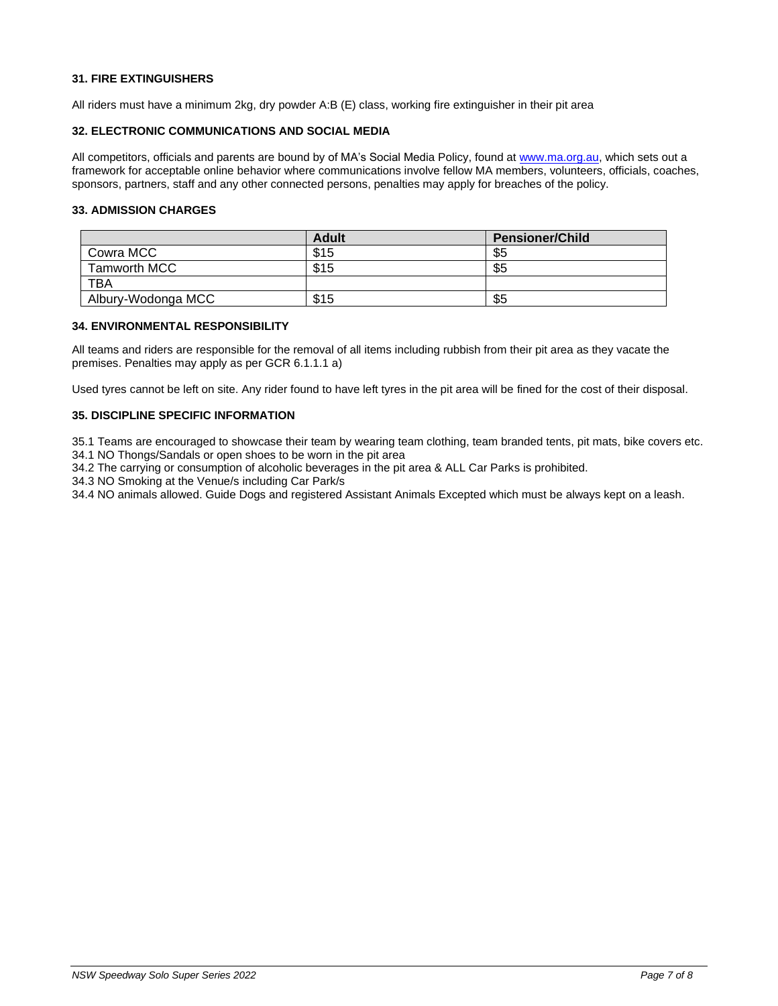## **31. FIRE EXTINGUISHERS**

All riders must have a minimum 2kg, dry powder A:B (E) class, working fire extinguisher in their pit area

### **32. ELECTRONIC COMMUNICATIONS AND SOCIAL MEDIA**

All competitors, officials and parents are bound by of MA's Social Media Policy, found at [www.ma.org.au,](http://www.ma.org.au/) which sets out a framework for acceptable online behavior where communications involve fellow MA members, volunteers, officials, coaches, sponsors, partners, staff and any other connected persons, penalties may apply for breaches of the policy.

## **33. ADMISSION CHARGES**

|                    | <b>Adult</b> | <b>Pensioner/Child</b> |
|--------------------|--------------|------------------------|
| Cowra MCC          | \$15         | \$5                    |
| Tamworth MCC       | \$15         | \$5                    |
| TBA                |              |                        |
| Albury-Wodonga MCC | \$15         | \$5                    |

## **34. ENVIRONMENTAL RESPONSIBILITY**

All teams and riders are responsible for the removal of all items including rubbish from their pit area as they vacate the premises. Penalties may apply as per GCR 6.1.1.1 a)

Used tyres cannot be left on site. Any rider found to have left tyres in the pit area will be fined for the cost of their disposal.

## **35. DISCIPLINE SPECIFIC INFORMATION**

35.1 Teams are encouraged to showcase their team by wearing team clothing, team branded tents, pit mats, bike covers etc.

34.1 NO Thongs/Sandals or open shoes to be worn in the pit area

34.2 The carrying or consumption of alcoholic beverages in the pit area & ALL Car Parks is prohibited.

34.3 NO Smoking at the Venue/s including Car Park/s

34.4 NO animals allowed. Guide Dogs and registered Assistant Animals Excepted which must be always kept on a leash.